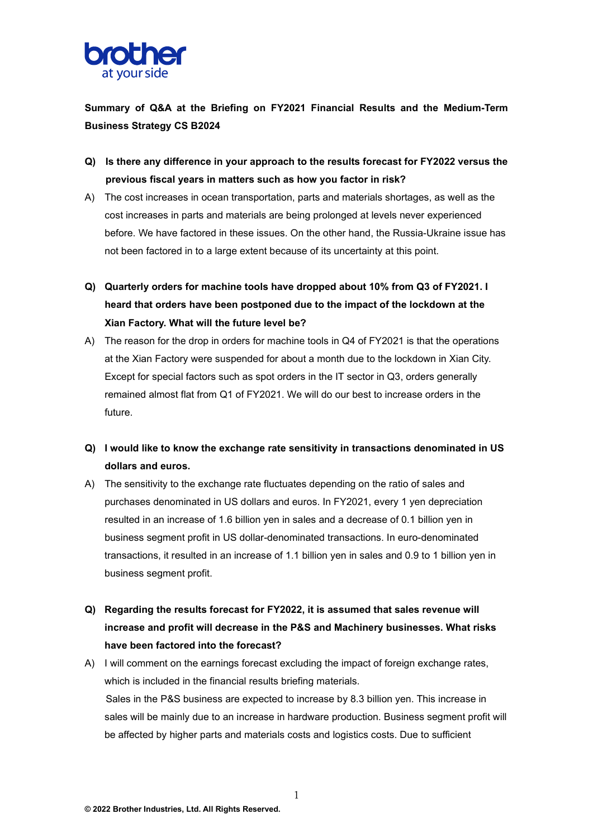

**Summary of Q&A at the Briefing on FY2021 Financial Results and the Medium-Term Business Strategy CS B2024**

- **Q) Is there any difference in your approach to the results forecast for FY2022 versus the previous fiscal years in matters such as how you factor in risk?**
- A) The cost increases in ocean transportation, parts and materials shortages, as well as the cost increases in parts and materials are being prolonged at levels never experienced before. We have factored in these issues. On the other hand, the Russia-Ukraine issue has not been factored in to a large extent because of its uncertainty at this point.
- **Q) Quarterly orders for machine tools have dropped about 10% from Q3 of FY2021. I heard that orders have been postponed due to the impact of the lockdown at the Xian Factory. What will the future level be?**
- A) The reason for the drop in orders for machine tools in Q4 of FY2021 is that the operations at the Xian Factory were suspended for about a month due to the lockdown in Xian City. Except for special factors such as spot orders in the IT sector in Q3, orders generally remained almost flat from Q1 of FY2021. We will do our best to increase orders in the future.
- **Q) I would like to know the exchange rate sensitivity in transactions denominated in US dollars and euros.**
- A) The sensitivity to the exchange rate fluctuates depending on the ratio of sales and purchases denominated in US dollars and euros. In FY2021, every 1 yen depreciation resulted in an increase of 1.6 billion yen in sales and a decrease of 0.1 billion yen in business segment profit in US dollar-denominated transactions. In euro-denominated transactions, it resulted in an increase of 1.1 billion yen in sales and 0.9 to 1 billion yen in business segment profit.
- **Q) Regarding the results forecast for FY2022, it is assumed that sales revenue will increase and profit will decrease in the P&S and Machinery businesses. What risks have been factored into the forecast?**
- A) I will comment on the earnings forecast excluding the impact of foreign exchange rates, which is included in the financial results briefing materials. Sales in the P&S business are expected to increase by 8.3 billion yen. This increase in sales will be mainly due to an increase in hardware production. Business segment profit will be affected by higher parts and materials costs and logistics costs. Due to sufficient